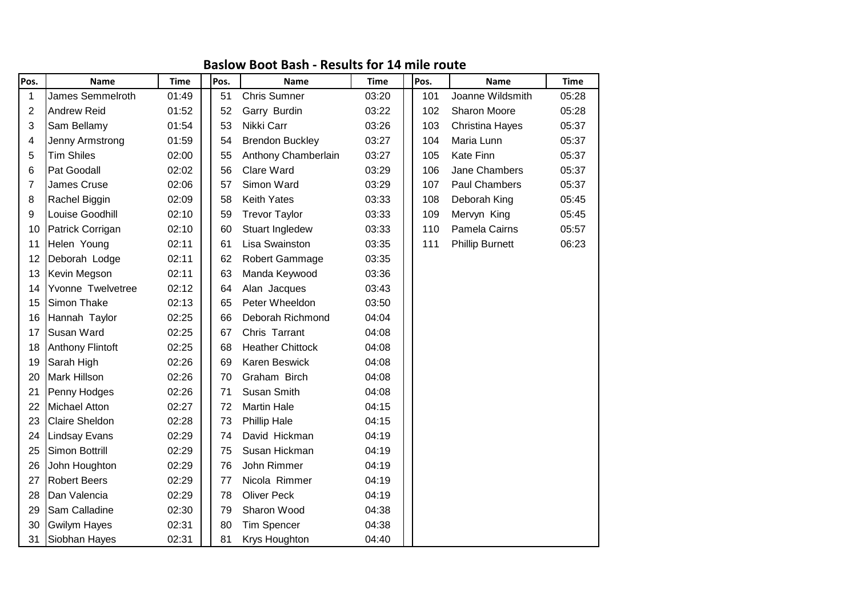## **Baslow Boot Bash - Results for 14 mile route**

| Pos.           | Name                    | <b>Time</b> | Pos. | Name                    | <b>Time</b>                | Pos.                   | <b>Name</b>            | <b>Time</b> |
|----------------|-------------------------|-------------|------|-------------------------|----------------------------|------------------------|------------------------|-------------|
| 1              | James Semmelroth        | 01:49       | 51   | <b>Chris Sumner</b>     | 03:20                      | 101                    | Joanne Wildsmith       | 05:28       |
| 2              | <b>Andrew Reid</b>      | 01:52       | 52   | Garry Burdin            | 03:22                      | 102<br>Sharon Moore    |                        | 05:28       |
| 3              | Sam Bellamy             | 01:54       | 53   | Nikki Carr              | 03:26                      | Christina Hayes<br>103 |                        | 05:37       |
| 4              | Jenny Armstrong         | 01:59       | 54   | <b>Brendon Buckley</b>  | 03:27<br>Maria Lunn<br>104 |                        | 05:37                  |             |
| 5              | <b>Tim Shiles</b>       | 02:00       | 55   | Anthony Chamberlain     | 03:27                      | 105                    | Kate Finn              | 05:37       |
| 6              | Pat Goodall             | 02:02       | 56   | Clare Ward              | 03:29                      | 106                    | Jane Chambers          | 05:37       |
| $\overline{7}$ | James Cruse             | 02:06       | 57   | Simon Ward              | 03:29                      | 107                    | Paul Chambers          | 05:37       |
| 8              | Rachel Biggin           | 02:09       | 58   | <b>Keith Yates</b>      | 03:33<br>108               |                        | Deborah King           | 05:45       |
| 9              | Louise Goodhill         | 02:10       | 59   | <b>Trevor Taylor</b>    | 03:33<br>109               |                        | Mervyn King            | 05:45       |
| 10             | Patrick Corrigan        | 02:10       | 60   | Stuart Ingledew         | 03:33<br>110               |                        | Pamela Cairns          | 05:57       |
| 11             | Helen Young             | 02:11       | 61   | Lisa Swainston          | 03:35<br>111               |                        | <b>Phillip Burnett</b> | 06:23       |
| 12             | Deborah Lodge           | 02:11       | 62   | Robert Gammage          | 03:35                      |                        |                        |             |
| 13             | Kevin Megson            | 02:11       | 63   | Manda Keywood           | 03:36                      |                        |                        |             |
| 14             | Yvonne Twelvetree       | 02:12       | 64   | Alan Jacques            | 03:43                      |                        |                        |             |
| 15             | Simon Thake             | 02:13       | 65   | Peter Wheeldon          | 03:50                      |                        |                        |             |
| 16             | Hannah Taylor           | 02:25       | 66   | Deborah Richmond        | 04:04                      |                        |                        |             |
| 17             | Susan Ward              | 02:25       | 67   | Chris Tarrant           | 04:08                      |                        |                        |             |
| 18             | <b>Anthony Flintoft</b> | 02:25       | 68   | <b>Heather Chittock</b> | 04:08                      |                        |                        |             |
| 19             | Sarah High              | 02:26       | 69   | Karen Beswick           | 04:08                      |                        |                        |             |
| 20             | <b>Mark Hillson</b>     | 02:26       | 70   | Graham Birch            | 04:08                      |                        |                        |             |
| 21             | Penny Hodges            | 02:26       | 71   | <b>Susan Smith</b>      | 04:08                      |                        |                        |             |
| 22             | <b>Michael Atton</b>    | 02:27       | 72   | <b>Martin Hale</b>      | 04:15                      |                        |                        |             |
| 23             | <b>Claire Sheldon</b>   | 02:28       | 73   | <b>Phillip Hale</b>     | 04:15                      |                        |                        |             |
| 24             | <b>Lindsay Evans</b>    | 02:29       | 74   | David Hickman           | 04:19                      |                        |                        |             |
| 25             | Simon Bottrill          | 02:29       | 75   | Susan Hickman           | 04:19                      |                        |                        |             |
| 26             | John Houghton           | 02:29       | 76   | John Rimmer             | 04:19                      |                        |                        |             |
| 27             | <b>Robert Beers</b>     | 02:29       | 77   | Nicola Rimmer           | 04:19                      |                        |                        |             |
| 28             | Dan Valencia            | 02:29       | 78   | <b>Oliver Peck</b>      | 04:19                      |                        |                        |             |
| 29             | Sam Calladine           | 02:30       | 79   | Sharon Wood             | 04:38                      |                        |                        |             |
| 30             | <b>Gwilym Hayes</b>     | 02:31       | 80   | Tim Spencer             | 04:38                      |                        |                        |             |
| 31             | Siobhan Hayes           | 02:31       | 81   | Krys Houghton           | 04:40                      |                        |                        |             |